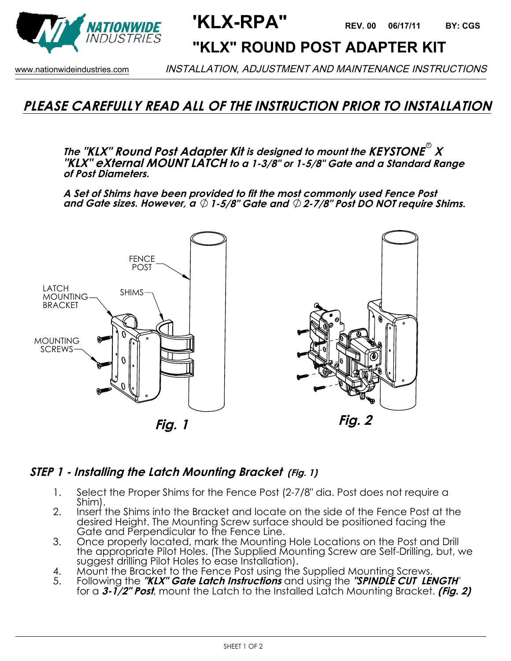

**'KLX-RPA" 06/17/11 BY: CGS**

## **"KLX" ROUND POST ADAPTER KIT**

www.nationwideindustries.com INSTALLATION, ADJUSTMENT AND MAINTENANCE INSTRUCTIONS

## **PLEASE CAREFULLY READ ALL OF THE INSTRUCTION PRIOR TO INSTALLATION**

**The "KLX" Round Post Adapter Kit is designed to mount the KEYSTONE X** R **"KLX" eXternal MOUNT LATCH to a 1-3/8" or 1-5/8" Gate and a Standard Range of Post Diameters.** 

**A Set of Shims have been provided to fit the most commonly used Fence Post and Gate sizes. However, a 1-5/8" Gate and 2-7/8" Post DO NOT require Shims.**



#### **Fig. 1**



### **STEP 1 - Installing the Latch Mounting Bracket (Fig. 1)**

- 1. Select the Proper Shims for the Fence Post (2-7/8" dia. Post does not require a Shim).
- 2. Insert the Shims into the Bracket and locate on the side of the Fence Post at the desired Height. The Mounting Screw surface should be positioned facing the Gate and Perpendicular to the Fence Line.
- 3. Once properly located, mark the Mounting Hole Locations on the Post and Drill the appropriate Pilot Holes. (The Supplied Mounting Screw are Self-Drilling, but, we suggest drilling Pilot Holes to ease Installation).
- 4. Mount the Bracket to the Fence Post using the Supplied Mounting Screws.<br>5. Following the **"KLX" Gate Latch Instructions** and using the **"SPINDLE CUT LEI**
- 5. Following the **"KLX" Gate Latch Instructions** and using the **"SPINDLE CUT LENGTH**" for a **3-1/2" Post**, mount the Latch to the Installed Latch Mounting Bracket. **(Fig. 2)**